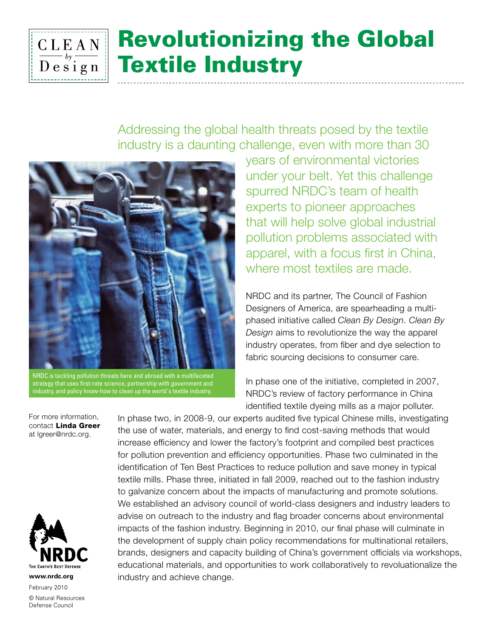

# Revolutionizing the Global Textile Industry

Addressing the global health threats posed by the textile industry is a daunting challenge, even with more than 30



NRDC is tackling pollution threats here and abroad with a multifaceted strategy that uses first-rate science, partnership with government and industry, and policy know-how to clean up the world's textile industry.

years of environmental victories under your belt. Yet this challenge spurred NRDC's team of health experts to pioneer approaches that will help solve global industrial pollution problems associated with apparel, with a focus first in China, where most textiles are made.

NRDC and its partner, The Council of Fashion Designers of America, are spearheading a multiphased initiative called *Clean By Design*. *Clean By Design* aims to revolutionize the way the apparel industry operates, from fiber and dye selection to fabric sourcing decisions to consumer care.

In phase one of the initiative, completed in 2007, NRDC's review of factory performance in China identified textile dyeing mills as a major polluter.

For more information, contact Linda Greer at lgreer@nrdc.org.



**www.nrdc.org**

February 2010 © Natural Resources Defense Council

In phase two, in 2008-9, our experts audited five typical Chinese mills, investigating the use of water, materials, and energy to find cost-saving methods that would increase efficiency and lower the factory's footprint and compiled best practices for pollution prevention and efficiency opportunities. Phase two culminated in the identification of Ten Best Practices to reduce pollution and save money in typical textile mills. Phase three, initiated in fall 2009, reached out to the fashion industry to galvanize concern about the impacts of manufacturing and promote solutions. We established an advisory council of world-class designers and industry leaders to advise on outreach to the industry and flag broader concerns about environmental impacts of the fashion industry. Beginning in 2010, our final phase will culminate in the development of supply chain policy recommendations for multinational retailers, brands, designers and capacity building of China's government officials via workshops, educational materials, and opportunities to work collaboratively to revoluationalize the industry and achieve change.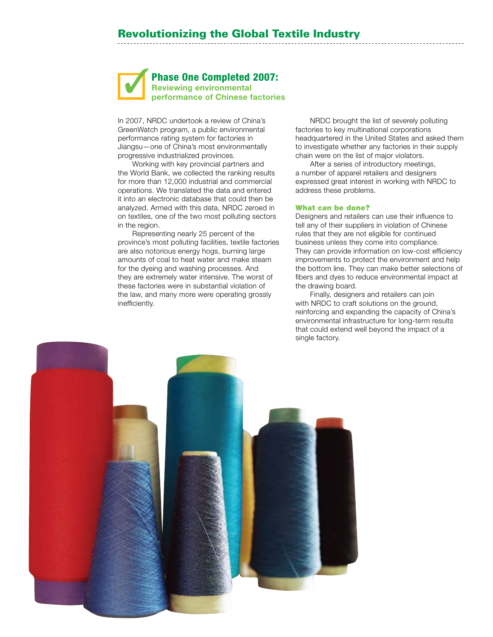Phase One Completed 2007: Reviewing environmental performance of Chinese factories

In 2007, NRDC undertook a review of China's GreenWatch program, a public environmental performance rating system for factories in Jiangsu—one of China's most environmentally progressive industrialized provinces.

Working with key provincial partners and the World Bank, we collected the ranking results for more than 12,000 industrial and commercial operations. We translated the data and entered it into an electronic database that could then be analyzed. Armed with this data, NRDC zeroed in on textiles, one of the two most polluting sectors in the region.

Representing nearly 25 percent of the province's most polluting facilities, textile factories are also notorious energy hogs, burning large amounts of coal to heat water and make steam for the dyeing and washing processes. And they are extremely water intensive. The worst of these factories were in substantial violation of the law, and many more were operating grossly inefficiently.

NRDC brought the list of severely polluting factories to key multinational corporations headquartered in the United States and asked them to investigate whether any factories in their supply chain were on the list of major violators.

After a series of introductory meetings, a number of apparel retailers and designers expressed great interest in working with NRDC to address these problems.

#### What can be done?

Designers and retailers can use their influence to tell any of their suppliers in violation of Chinese rules that they are not eligible for continued business unless they come into compliance. They can provide information on low-cost efficiency improvements to protect the environment and help the bottom line. They can make better selections of fibers and dyes to reduce environmental impact at the drawing board.

Finally, designers and retailers can join with NRDC to craft solutions on the ground, reinforcing and expanding the capacity of China's environmental infrastructure for long-term results that could extend well beyond the impact of a single factory.

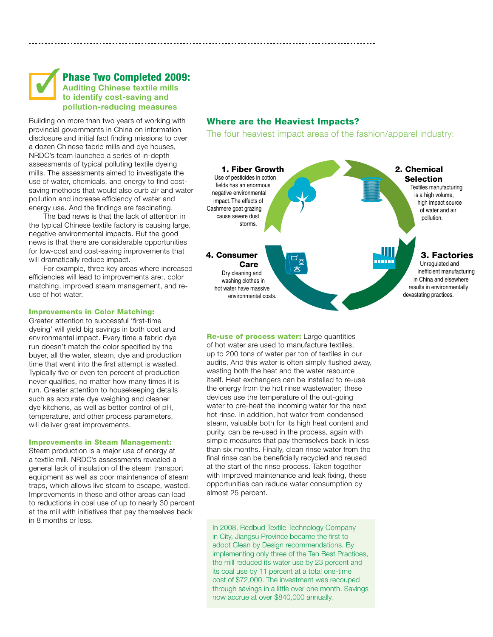

## Phase Two Completed 2009: Auditing Chinese textile mills

# to identify cost-saving and pollution-reducing measures

Building on more than two years of working with provincial governments in China on information disclosure and initial fact finding missions to over a dozen Chinese fabric mills and dye houses, NRDC's team launched a series of in-depth assessments of typical polluting textile dyeing mills. The assessments aimed to investigate the use of water, chemicals, and energy to find costsaving methods that would also curb air and water pollution and increase efficiency of water and energy use. And the findings are fascinating.

The bad news is that the lack of attention in the typical Chinese textile factory is causing large, negative environmental impacts. But the good news is that there are considerable opportunities for low-cost and cost-saving improvements that will dramatically reduce impact.

For example, three key areas where increased efficiencies will lead to improvements are:, color matching, improved steam management, and reuse of hot water.

#### Improvements in Color Matching:

Greater attention to successful 'first-time dyeing' will yield big savings in both cost and environmental impact. Every time a fabric dye run doesn't match the color specified by the buyer, all the water, steam, dye and production time that went into the first attempt is wasted. Typically five or even ten percent of production never qualifies, no matter how many times it is run. Greater attention to housekeeping details such as accurate dye weighing and cleaner dye kitchens, as well as better control of pH, temperature, and other process parameters, will deliver great improvements.

#### Improvements in Steam Management:

Steam production is a major use of energy at a textile mill. NRDC's assessments revealed a general lack of insulation of the steam transport equipment as well as poor maintenance of steam traps, which allows live steam to escape, wasted. Improvements in these and other areas can lead to reductions in coal use of up to nearly 30 percent at the mill with initiatives that pay themselves back in 8 months or less.

### Where are the Heaviest Impacts?

The four heaviest impact areas of the fashion/apparel industry:



Re-use of process water: Large quantities of hot water are used to manufacture textiles, up to 200 tons of water per ton of textiles in our audits. And this water is often simply flushed away, wasting both the heat and the water resource itself. Heat exchangers can be installed to re-use the energy from the hot rinse wastewater; these devices use the temperature of the out-going water to pre-heat the incoming water for the next hot rinse. In addition, hot water from condensed steam, valuable both for its high heat content and purity, can be re-used in the process, again with simple measures that pay themselves back in less than six months. Finally, clean rinse water from the final rinse can be beneficially recycled and reused at the start of the rinse process. Taken together with improved maintenance and leak fixing, these opportunities can reduce water consumption by almost 25 percent.

In 2008, Redbud Textile Technology Company in City, Jiangsu Province became the first to adopt Clean by Design recommendations. By implementing only three of the Ten Best Practices, the mill reduced its water use by 23 percent and its coal use by 11 percent at a total one-time cost of \$72,000. The investment was recouped through savings in a little over one month. Savings now accrue at over \$840,000 annually.